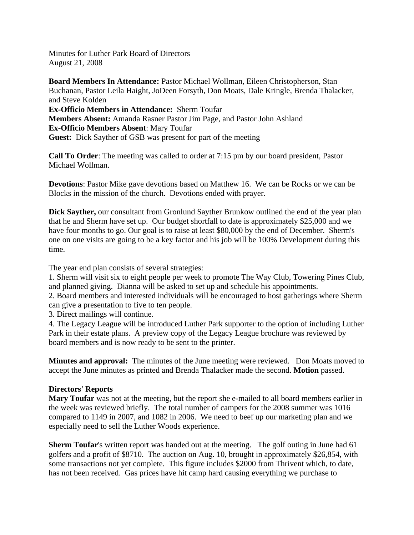Minutes for Luther Park Board of Directors August 21, 2008

**Board Members In Attendance:** Pastor Michael Wollman, Eileen Christopherson, Stan Buchanan, Pastor Leila Haight, JoDeen Forsyth, Don Moats, Dale Kringle, Brenda Thalacker, and Steve Kolden **Ex-Officio Members in Attendance:** Sherm Toufar **Members Absent:** Amanda Rasner Pastor Jim Page, and Pastor John Ashland **Ex-Officio Members Absent**: Mary Toufar **Guest:** Dick Sayther of GSB was present for part of the meeting

**Call To Order**: The meeting was called to order at 7:15 pm by our board president, Pastor Michael Wollman.

**Devotions**: Pastor Mike gave devotions based on Matthew 16. We can be Rocks or we can be Blocks in the mission of the church. Devotions ended with prayer.

**Dick Sayther,** our consultant from Gronlund Sayther Brunkow outlined the end of the year plan that he and Sherm have set up. Our budget shortfall to date is approximately \$25,000 and we have four months to go. Our goal is to raise at least \$80,000 by the end of December. Sherm's one on one visits are going to be a key factor and his job will be 100% Development during this time.

The year end plan consists of several strategies:

1. Sherm will visit six to eight people per week to promote The Way Club, Towering Pines Club, and planned giving. Dianna will be asked to set up and schedule his appointments.

2. Board members and interested individuals will be encouraged to host gatherings where Sherm can give a presentation to five to ten people.

3. Direct mailings will continue.

4. The Legacy League will be introduced Luther Park supporter to the option of including Luther Park in their estate plans. A preview copy of the Legacy League brochure was reviewed by board members and is now ready to be sent to the printer.

**Minutes and approval:** The minutes of the June meeting were reviewed. Don Moats moved to accept the June minutes as printed and Brenda Thalacker made the second. **Motion** passed.

## **Directors' Reports**

**Mary Toufar** was not at the meeting, but the report she e-mailed to all board members earlier in the week was reviewed briefly. The total number of campers for the 2008 summer was 1016 compared to 1149 in 2007, and 1082 in 2006. We need to beef up our marketing plan and we especially need to sell the Luther Woods experience.

**Sherm Toufar's written report was handed out at the meeting. The golf outing in June had 61** golfers and a profit of \$8710. The auction on Aug. 10, brought in approximately \$26,854, with some transactions not yet complete. This figure includes \$2000 from Thrivent which, to date, has not been received. Gas prices have hit camp hard causing everything we purchase to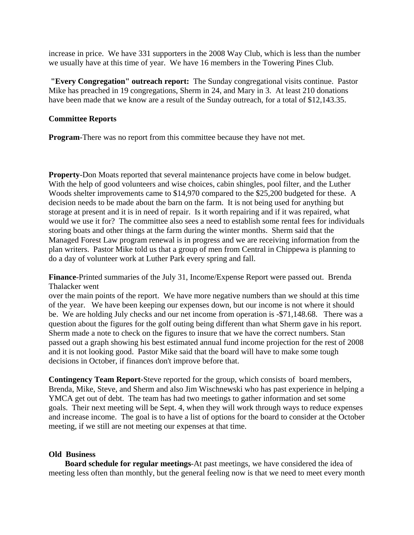increase in price. We have 331 supporters in the 2008 Way Club, which is less than the number we usually have at this time of year. We have 16 members in the Towering Pines Club.

**"Every Congregation" outreach report:** The Sunday congregational visits continue. Pastor Mike has preached in 19 congregations, Sherm in 24, and Mary in 3. At least 210 donations have been made that we know are a result of the Sunday outreach, for a total of \$12,143.35.

## **Committee Reports**

**Program**-There was no report from this committee because they have not met.

**Property**-Don Moats reported that several maintenance projects have come in below budget. With the help of good volunteers and wise choices, cabin shingles, pool filter, and the Luther Woods shelter improvements came to \$14,970 compared to the \$25,200 budgeted for these. A decision needs to be made about the barn on the farm. It is not being used for anything but storage at present and it is in need of repair. Is it worth repairing and if it was repaired, what would we use it for? The committee also sees a need to establish some rental fees for individuals storing boats and other things at the farm during the winter months. Sherm said that the Managed Forest Law program renewal is in progress and we are receiving information from the plan writers. Pastor Mike told us that a group of men from Central in Chippewa is planning to do a day of volunteer work at Luther Park every spring and fall.

**Finance**-Printed summaries of the July 31, Income/Expense Report were passed out. Brenda Thalacker went

over the main points of the report. We have more negative numbers than we should at this time of the year. We have been keeping our expenses down, but our income is not where it should be. We are holding July checks and our net income from operation is -\$71,148.68. There was a question about the figures for the golf outing being different than what Sherm gave in his report. Sherm made a note to check on the figures to insure that we have the correct numbers. Stan passed out a graph showing his best estimated annual fund income projection for the rest of 2008 and it is not looking good. Pastor Mike said that the board will have to make some tough decisions in October, if finances don't improve before that.

**Contingency Team Report-**Steve reported for the group, which consists of board members, Brenda, Mike, Steve, and Sherm and also Jim Wischnewski who has past experience in helping a YMCA get out of debt. The team has had two meetings to gather information and set some goals. Their next meeting will be Sept. 4, when they will work through ways to reduce expenses and increase income. The goal is to have a list of options for the board to consider at the October meeting, if we still are not meeting our expenses at that time.

## **Old Business**

 **Board schedule for regular meetings**-At past meetings, we have considered the idea of meeting less often than monthly, but the general feeling now is that we need to meet every month